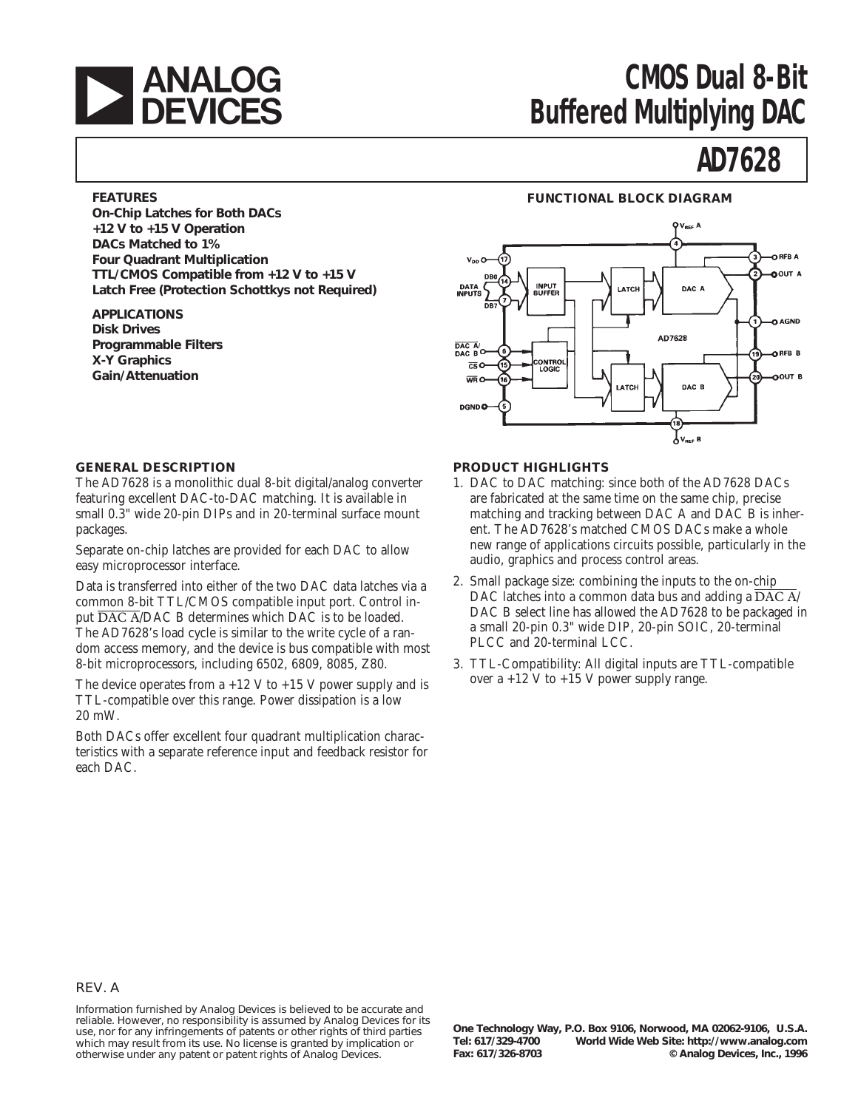

# **ANALOG CMOS Dual 8-Bit**<br> **DEVICES** Buffered Multiplying DAC **Buffered Multiplying DAC**

## **AD7628**

#### **FEATURES**

**On-Chip Latches for Both DACs +12 V to +15 V Operation DACs Matched to 1% Four Quadrant Multiplication TTL/CMOS Compatible from +12 V to +15 V Latch Free (Protection Schottkys not Required)**

**APPLICATIONS Disk Drives Programmable Filters X-Y Graphics Gain/Attenuation**

#### **FUNCTIONAL BLOCK DIAGRAM**



#### **GENERAL DESCRIPTION**

The AD7628 is a monolithic dual 8-bit digital/analog converter featuring excellent DAC-to-DAC matching. It is available in small 0.3" wide 20-pin DIPs and in 20-terminal surface mount packages.

Separate on-chip latches are provided for each DAC to allow easy microprocessor interface.

Data is transferred into either of the two DAC data latches via a common 8-bit TTL/CMOS compatible input port. Control input DAC A/DAC B determines which DAC is to be loaded. The AD7628's load cycle is similar to the write cycle of a random access memory, and the device is bus compatible with most 8-bit microprocessors, including 6502, 6809, 8085, Z80.

The device operates from  $a +12$  V to  $+15$  V power supply and is TTL-compatible over this range. Power dissipation is a low 20 mW.

Both DACs offer excellent four quadrant multiplication characteristics with a separate reference input and feedback resistor for each DAC.

#### **PRODUCT HIGHLIGHTS**

- 1. DAC to DAC matching: since both of the AD7628 DACs are fabricated at the same time on the same chip, precise matching and tracking between DAC A and DAC B is inherent. The AD7628's matched CMOS DACs make a whole new range of applications circuits possible, particularly in the audio, graphics and process control areas.
- 2. Small package size: combining the inputs to the on-chip DAC latches into a common data bus and adding a  $\overline{\text{DAC A}}$ DAC B select line has allowed the AD7628 to be packaged in a small 20-pin 0.3" wide DIP, 20-pin SOIC, 20-terminal PLCC and 20-terminal LCC.
- 3. TTL-Compatibility: All digital inputs are TTL-compatible over a  $+12$  V to  $+15$  V power supply range.

#### REV. A

Information furnished by Analog Devices is believed to be accurate and reliable. However, no responsibility is assumed by Analog Devices for its use, nor for any infringements of patents or other rights of third parties which may result from its use. No license is granted by implication or otherwise under any patent or patent rights of Analog Devices.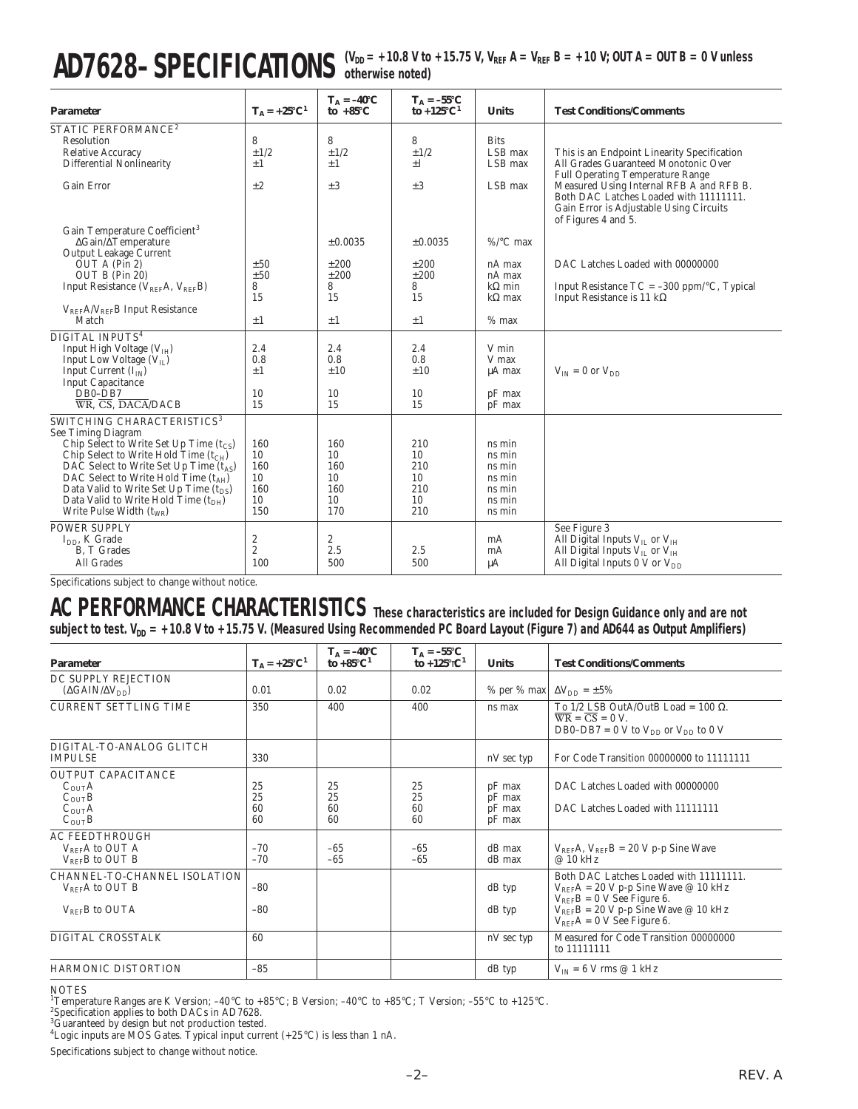# $AD7628-SPECIFICATIONS$  (V<sub>DD</sub> = +10.8 V to +15.75 V, V<sub>REF</sub> A = V<sub>REF</sub> B = +10 V; OUT A = OUT B = 0 V unless

| <b>Parameter</b>                                                                                           | $T_A = +25^{\circ}C^1$ | $T_A = -40$ °C<br>to $+85^{\circ}$ C | $T_A = -55^{\circ}C$<br>to $+125^{\circ}C^1$ | <b>Units</b>                      | <b>Test Conditions/Comments</b>                                                                                                                      |
|------------------------------------------------------------------------------------------------------------|------------------------|--------------------------------------|----------------------------------------------|-----------------------------------|------------------------------------------------------------------------------------------------------------------------------------------------------|
| STATIC PERFORMANCE <sup>2</sup><br>Resolution<br><b>Relative Accuracy</b><br>Differential Nonlinearity     | 8<br>$\pm$ 1/2<br>$+1$ | 8<br>$\pm 1/2$<br>$+1$               | 8<br>$\pm$ 1/2<br>$+1$                       | <b>Bits</b><br>LSB max<br>LSB max | This is an Endpoint Linearity Specification<br>All Grades Guaranteed Monotonic Over<br><b>Full Operating Temperature Range</b>                       |
| <b>Gain Error</b>                                                                                          | ±2                     | $\pm 3$                              | $\pm 3$                                      | LSB max                           | Measured Using Internal RFB A and RFB B.<br>Both DAC Latches Loaded with 11111111.<br>Gain Error is Adjustable Using Circuits<br>of Figures 4 and 5. |
| Gain Temperature Coefficient <sup>3</sup><br>$\Delta$ Gain/ $\Delta$ Temperature<br>Output Leakage Current |                        | ±0.0035                              | $\pm 0.0035$                                 | $\%$ /°C max                      |                                                                                                                                                      |
| OUT A (Pin 2)                                                                                              | ±50                    | ±200                                 | ±200                                         | nA max                            | DAC Latches Loaded with 00000000                                                                                                                     |
| OUT B (Pin 20)                                                                                             | ±50                    | ±200                                 | ±200                                         | nA max                            |                                                                                                                                                      |
| Input Resistance ( $V_{REF}A$ , $V_{REF}B$ )                                                               | 8<br>15                | 8<br>15                              | 8<br>15                                      | $k\Omega$ min<br>$k\Omega$ max    | Input Resistance $TC = -300$ ppm/ $\degree$ C, Typical<br>Input Resistance is 11 k $\Omega$                                                          |
| $V_{REF}A/V_{REF}B$ Input Resistance                                                                       |                        |                                      |                                              |                                   |                                                                                                                                                      |
| Match                                                                                                      | $\pm 1$                | $\pm 1$                              | $+1$                                         | $%$ max                           |                                                                                                                                                      |
| DIGITAL INPUTS <sup>4</sup>                                                                                |                        |                                      |                                              |                                   |                                                                                                                                                      |
| Input High Voltage $(VTH)$                                                                                 | 2.4                    | 2.4                                  | 2.4                                          | V min                             |                                                                                                                                                      |
| Input Low Voltage $(V_{II})$                                                                               | 0.8<br>$+1$            | 0.8<br>±10                           | 0.8<br>±10                                   | V max                             |                                                                                                                                                      |
| Input Current $(I_{IN})$<br><b>Input Capacitance</b>                                                       |                        |                                      |                                              | µA max                            | $V_{IN} = 0$ or $V_{DD}$                                                                                                                             |
| $DB0-DB7$                                                                                                  | 10                     | 10                                   | 10                                           | pF max                            |                                                                                                                                                      |
| $\overline{\text{WR}}$ . $\overline{\text{CS}}$ . DACA/DACB                                                | 15                     | 15                                   | 15                                           | pF max                            |                                                                                                                                                      |
| SWITCHING CHARACTERISTICS <sup>3</sup>                                                                     |                        |                                      |                                              |                                   |                                                                                                                                                      |
| See Timing Diagram                                                                                         |                        |                                      |                                              |                                   |                                                                                                                                                      |
| Chip Select to Write Set Up Time $(t_{CS})$<br>Chip Select to Write Hold Time $(t_{CH})$                   | 160<br>10              | 160<br>10                            | 210<br>10                                    | ns min<br>ns min                  |                                                                                                                                                      |
| DAC Select to Write Set Up Time $(t_{AS})$                                                                 | 160                    | 160                                  | 210                                          | ns min                            |                                                                                                                                                      |
| DAC Select to Write Hold Time $(t_{AH})$                                                                   | 10                     | 10                                   | 10                                           | ns min                            |                                                                                                                                                      |
| Data Valid to Write Set Up Time $(t_{DS})$                                                                 | 160                    | 160                                  | 210                                          | ns min                            |                                                                                                                                                      |
| Data Valid to Write Hold Time $(tDH)$                                                                      | 10                     | 10                                   | 10                                           | ns min                            |                                                                                                                                                      |
| Write Pulse Width $(t_{WR})$                                                                               | 150                    | 170                                  | 210                                          | ns min                            |                                                                                                                                                      |
| POWER SUPPLY                                                                                               |                        |                                      |                                              |                                   | See Figure 3                                                                                                                                         |
| $IDD$ , K Grade                                                                                            | 2                      | 2                                    |                                              | mA                                | All Digital Inputs V <sub>IL</sub> or V <sub>IH</sub>                                                                                                |
| B, T Grades<br>All Grades                                                                                  | $\mathbf{2}$<br>100    | 2.5<br>500                           | 2.5<br>500                                   | mA                                | All Digital Inputs $V_{IL}$ or $V_{IH}$                                                                                                              |
|                                                                                                            |                        |                                      |                                              | μA                                | All Digital Inputs $0 \text{ V}$ or $V_{DD}$                                                                                                         |

Specifications subject to change without notice.

### **AC PERFORMANCE CHARACTERISTICS These characteristics are included for Design Guidance only and are not** subject to test. V<sub>DD</sub> = +10.8 V to +15.75 V. (Measured Using Recommended PC Board Layout (Figure 7) and AD644 as Output Amplifiers)

| <b>Parameter</b>                                                                                       | $T_A = +25^{\circ}C^1$ | $T_A = -40$ °C<br>to $+85^{\circ}C^1$ | $T_A = -55^{\circ}C$<br>to +125 $\mathcal{C}^1$ | <b>Units</b>                         | <b>Test Conditions/Comments</b>                                                                                                                                                                    |
|--------------------------------------------------------------------------------------------------------|------------------------|---------------------------------------|-------------------------------------------------|--------------------------------------|----------------------------------------------------------------------------------------------------------------------------------------------------------------------------------------------------|
| DC SUPPLY REJECTION<br>$(\Delta GAIN/\Delta V_{DD})$                                                   | 0.01                   | 0.02                                  | 0.02                                            |                                      | % per % max $\Delta V_{DD} = \pm 5\%$                                                                                                                                                              |
| <b>CURRENT SETTLING TIME</b>                                                                           | 350                    | 400                                   | 400                                             | ns max                               | To 1/2 LSB OutA/OutB Load = 100 $\Omega$ .<br>$\overline{WR} = \overline{CS} = 0 V$ .<br>DB0-DB7 = 0 V to $V_{DD}$ or $V_{DD}$ to 0 V                                                              |
| DIGITAL-TO-ANALOG GLITCH<br><b>IMPULSE</b>                                                             | 330                    |                                       |                                                 | nV sec typ                           | For Code Transition 00000000 to 11111111                                                                                                                                                           |
| <b>OUTPUT CAPACITANCE</b><br>$C_{\text{OUT}}A$<br>$C_{OUT}B$<br>$C_{\text{OUT}}A$<br>$C_{\text{OUT}}B$ | 25<br>25<br>60<br>60   | 25<br>25<br>60<br>60                  | 25<br>25<br>60<br>60                            | pF max<br>pF max<br>pF max<br>pF max | DAC Latches Loaded with 00000000<br>DAC Latches Loaded with 11111111                                                                                                                               |
| <b>AC FEEDTHROUGH</b><br>$V_{REF}A$ to OUT A<br>$V_{RFE}B$ to OUT B                                    | $-70$<br>$-70$         | $-65$<br>$-65$                        | $-65$<br>$-65$                                  | $dB$ max<br>dB max                   | $V_{REF}A$ , $V_{REF}B = 20 V p-p$ Sine Wave<br>@ 10 kHz                                                                                                                                           |
| CHANNEL-TO-CHANNEL ISOLATION<br>V <sub>REF</sub> A to OUT B<br>$V_{REF}B$ to OUTA                      | $-80$<br>$-80$         |                                       |                                                 | $dB$ typ<br>dB typ                   | Both DAC Latches Loaded with 11111111.<br>$V_{REF}A = 20 V p-p$ Sine Wave @ 10 kHz<br>$V_{BEF}B = 0$ V See Figure 6.<br>$V_{REF}B = 20 V p-p$ Sine Wave @ 10 kHz<br>$V_{REF}A = 0$ V See Figure 6. |
| DIGITAL CROSSTALK                                                                                      | 60                     |                                       |                                                 | nV sec typ                           | Measured for Code Transition 00000000<br>to 11111111                                                                                                                                               |
| HARMONIC DISTORTION                                                                                    | $-85$                  |                                       |                                                 | $dB$ typ                             | $V_{IN}$ = 6 V rms @ 1 kHz                                                                                                                                                                         |

#### **NOTES**

<sup>1</sup>Temperature Ranges are K Version; –40°C to +85°C; B Version; –40°C to +85°C; T Version; –55°C to +125°C.<br><sup>2</sup>Specification applies to both DA*Cs* in AD7628.

Specification applies to both DACs in AD7628. 3 Guaranteed by design but not production tested. 4 Logic inputs are MOS Gates. Typical input current (+25°C) is less than 1 nA.

Specifications subject to change without notice.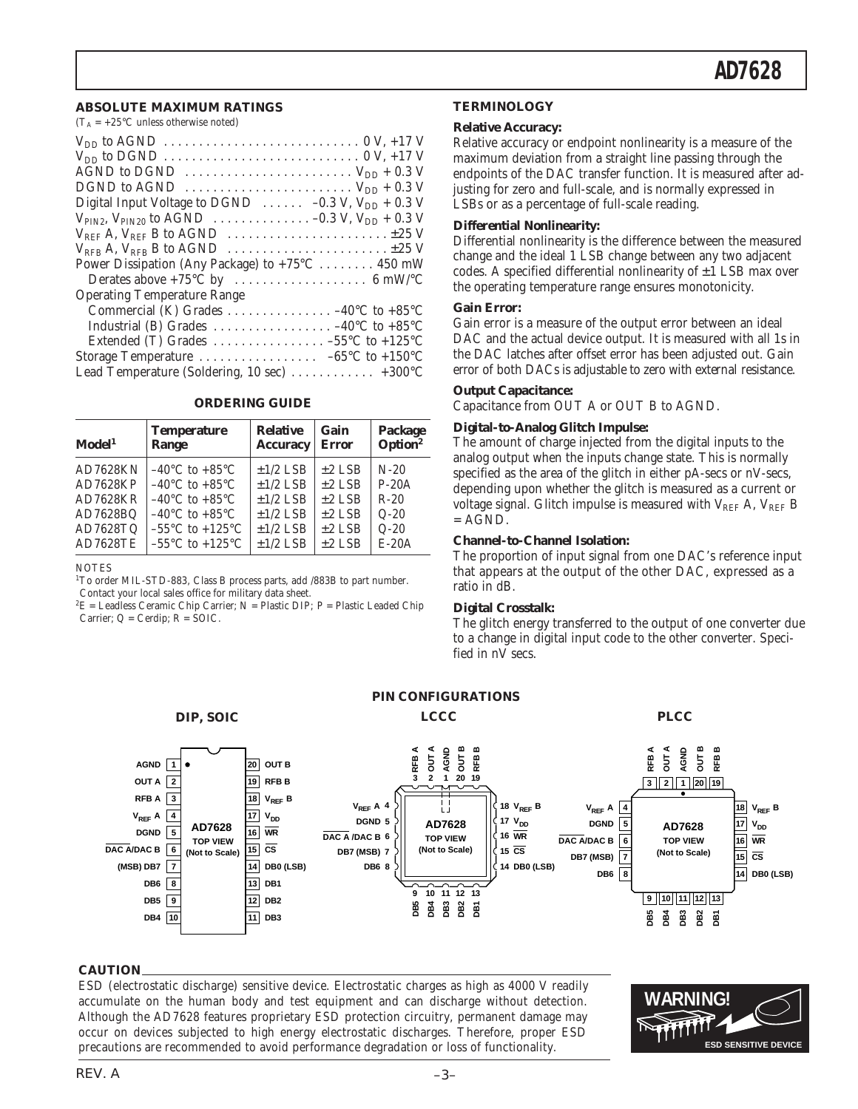#### **ABSOLUTE MAXIMUM RATINGS**

 $(T_A = +25^{\circ}$ C unless otherwise noted)

#### **ORDERING GUIDE**

| Model <sup>1</sup> | <b>Temperature</b>                  | <b>Relative</b> | Gain         | Package             |
|--------------------|-------------------------------------|-----------------|--------------|---------------------|
|                    | Range                               | <b>Accuracy</b> | <b>Error</b> | Option <sup>2</sup> |
| <b>AD7628KN</b>    | $-40^{\circ}$ C to $+85^{\circ}$ C  | $\pm$ 1/2 LSB   | $±2$ LSB     | $N-20$              |
| AD7628KP           | $-40^{\circ}$ C to $+85^{\circ}$ C  | $±1/2$ LSB      | $±2$ LSB     | $P-20A$             |
| AD7628KR           | $-40^{\circ}$ C to $+85^{\circ}$ C  | $\pm$ 1/2 LSB   | $±2$ LSB     | $R-20$              |
| AD7628BQ           | $-40^{\circ}$ C to $+85^{\circ}$ C  | $±1/2$ LSB      | $±2$ LSB     | $Q-20$              |
| AD7628TQ           | $-55^{\circ}$ C to $+125^{\circ}$ C | $±1/2$ LSB      | $±2$ LSB     | $Q-20$              |
| <b>AD7628TE</b>    | $-55^{\circ}$ C to $+125^{\circ}$ C | $±1/2$ LSB      | $±2$ LSB     | $E-20A$             |

**NOTES** 

<sup>1</sup>To order MIL-STD-883, Class B process parts, add /883B to part number. Contact your local sales office for military data sheet.

 ${}^{2}E$  = Leadless Ceramic Chip Carrier; N = Plastic DIP; P = Plastic Leaded Chip Carrier;  $Q = \text{Cerdip}$ ;  $R = \text{SOIC}$ .

#### **TERMINOLOGY**

#### **Relative Accuracy:**

Relative accuracy or endpoint nonlinearity is a measure of the maximum deviation from a straight line passing through the endpoints of the DAC transfer function. It is measured after adjusting for zero and full-scale, and is normally expressed in LSBs or as a percentage of full-scale reading.

#### **Differential Nonlinearity:**

Differential nonlinearity is the difference between the measured change and the ideal 1 LSB change between any two adjacent codes. A specified differential nonlinearity of  $\pm 1$  LSB max over the operating temperature range ensures monotonicity.

#### **Gain Error:**

Gain error is a measure of the output error between an ideal DAC and the actual device output. It is measured with all 1s in the DAC latches after offset error has been adjusted out. Gain error of both DACs is adjustable to zero with external resistance.

#### **Output Capacitance:**

Capacitance from OUT A or OUT B to AGND.

#### **Digital-to-Analog Glitch Impulse:**

The amount of charge injected from the digital inputs to the analog output when the inputs change state. This is normally specified as the area of the glitch in either pA-secs or nV-secs, depending upon whether the glitch is measured as a current or voltage signal. Glitch impulse is measured with  $V_{REF}$  A,  $V_{REF}$  B  $= AGND$ .

#### **Channel-to-Channel Isolation:**

The proportion of input signal from one DAC's reference input that appears at the output of the other DAC, expressed as a ratio in dB.

#### **Digital Crosstalk:**

The glitch energy transferred to the output of one converter due to a change in digital input code to the other converter. Specified in nV secs.



**PIN CONFIGURATIONS**

#### **CAUTION**

ESD (electrostatic discharge) sensitive device. Electrostatic charges as high as 4000 V readily accumulate on the human body and test equipment and can discharge without detection. Although the AD7628 features proprietary ESD protection circuitry, permanent damage may occur on devices subjected to high energy electrostatic discharges. Therefore, proper ESD precautions are recommended to avoid performance degradation or loss of functionality.

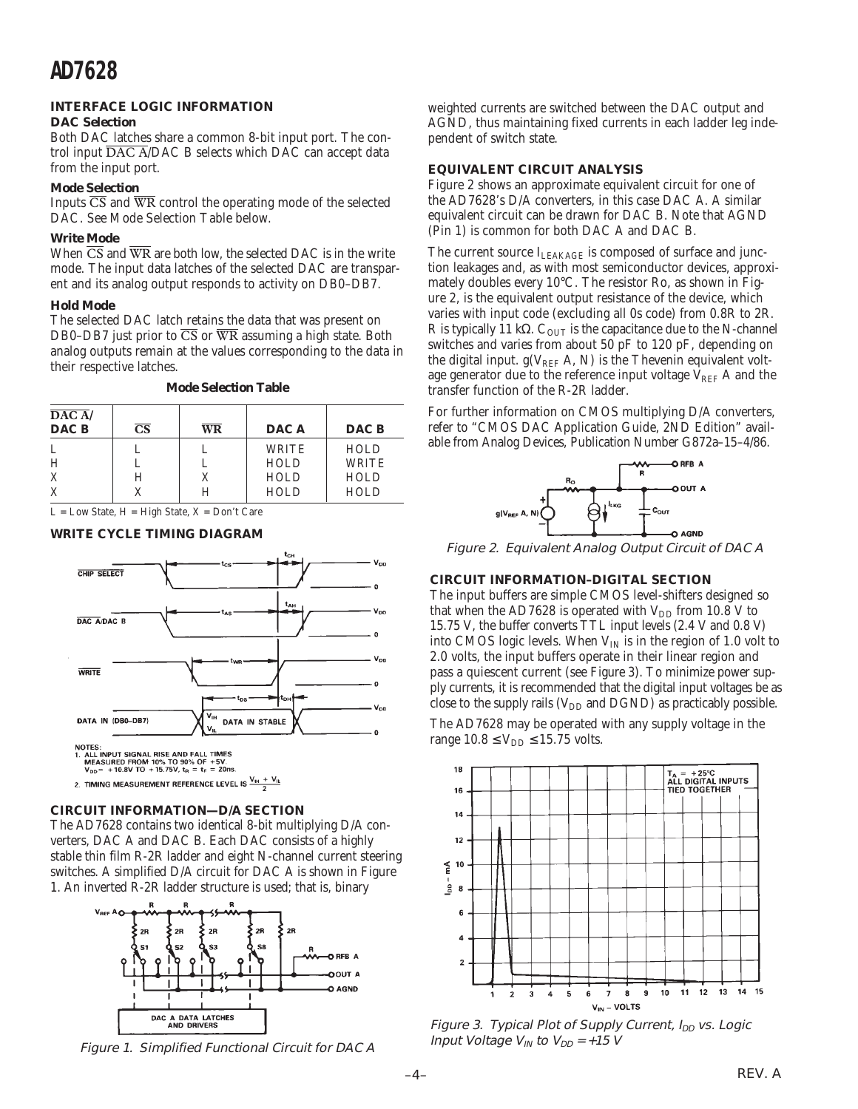#### **INTERFACE LOGIC INFORMATION DAC Selection**

Both DAC latches share a common 8-bit input port. The control input DAC A/DAC B selects which DAC can accept data from the input port.

#### **Mode Selection**

Inputs  $\overline{CS}$  and  $\overline{WR}$  control the operating mode of the selected DAC. See Mode Selection Table below.

#### **Write Mode**

When  $\overline{CS}$  and  $\overline{WR}$  are both low, the selected DAC is in the write mode. The input data latches of the selected DAC are transparent and its analog output responds to activity on DB0–DB7.

#### **Hold Mode**

The selected DAC latch retains the data that was present on DB0–DB7 just prior to CS or WR assuming a high state. Both analog outputs remain at the values corresponding to the data in their respective latches.

**Mode Selection Table**

| DAC A<br>DAC B | $\mathbf{CS}$ | <b>WR</b> | DAC A       | DAC B        |
|----------------|---------------|-----------|-------------|--------------|
| L              |               |           | WRITE       | <b>HOLD</b>  |
| H              |               |           | <b>HOLD</b> | <b>WRITE</b> |
| X              | Н             |           | <b>HOLD</b> | <b>HOLD</b>  |
| X              |               |           | <b>HOLD</b> | HOLD         |

 $L = Low State, H = High State, X = Don't Care$ 

#### **WRITE CYCLE TIMING DIAGRAM**



#### **CIRCUIT INFORMATION—D/A SECTION**

The AD7628 contains two identical 8-bit multiplying D/A converters, DAC A and DAC B. Each DAC consists of a highly stable thin film R-2R ladder and eight N-channel current steering switches. A simplified D/A circuit for DAC A is shown in Figure 1. An inverted R-2R ladder structure is used; that is, binary



Figure 1. Simplified Functional Circuit for DAC A

weighted currents are switched between the DAC output and AGND, thus maintaining fixed currents in each ladder leg independent of switch state.

#### **EQUIVALENT CIRCUIT ANALYSIS**

Figure 2 shows an approximate equivalent circuit for one of the AD7628's D/A converters, in this case DAC A. A similar equivalent circuit can be drawn for DAC B. Note that AGND (Pin 1) is common for both DAC A and DAC B.

The current source ILEAKAGE is composed of surface and junction leakages and, as with most semiconductor devices, approximately doubles every 10°C. The resistor Ro, as shown in Figure 2, is the equivalent output resistance of the device, which varies with input code (excluding all 0s code) from 0.8R to 2R. R is typically 11 kΩ.  $C_{\text{OUT}}$  is the capacitance due to the N-channel switches and varies from about 50 pF to 120 pF, depending on the digital input.  $g(V_{REF} A, N)$  is the Thevenin equivalent voltage generator due to the reference input voltage  $V_{REF}$  A and the transfer function of the R-2R ladder.

For further information on CMOS multiplying D/A converters, refer to "CMOS DAC Application Guide, 2ND Edition" available from Analog Devices, Publication Number G872a–15–4/86.



Figure 2. Equivalent Analog Output Circuit of DAC A

#### **CIRCUIT INFORMATION–DIGITAL SECTION**

The input buffers are simple CMOS level-shifters designed so that when the AD7628 is operated with  $V_{DD}$  from 10.8 V to 15.75 V, the buffer converts TTL input levels (2.4 V and 0.8 V) into CMOS logic levels. When  $V_{IN}$  is in the region of 1.0 volt to 2.0 volts, the input buffers operate in their linear region and pass a quiescent current (see Figure 3). To minimize power supply currents, it is recommended that the digital input voltages be as close to the supply rails  $(V_{DD}$  and DGND) as practicably possible.

The AD7628 may be operated with any supply voltage in the range  $10.8 \le V_{DD} \le 15.75$  volts.



Figure 3. Typical Plot of Supply Current, I<sub>DD</sub> vs. Logic Input Voltage  $V_{IN}$  to  $V_{DD}$  = +15 V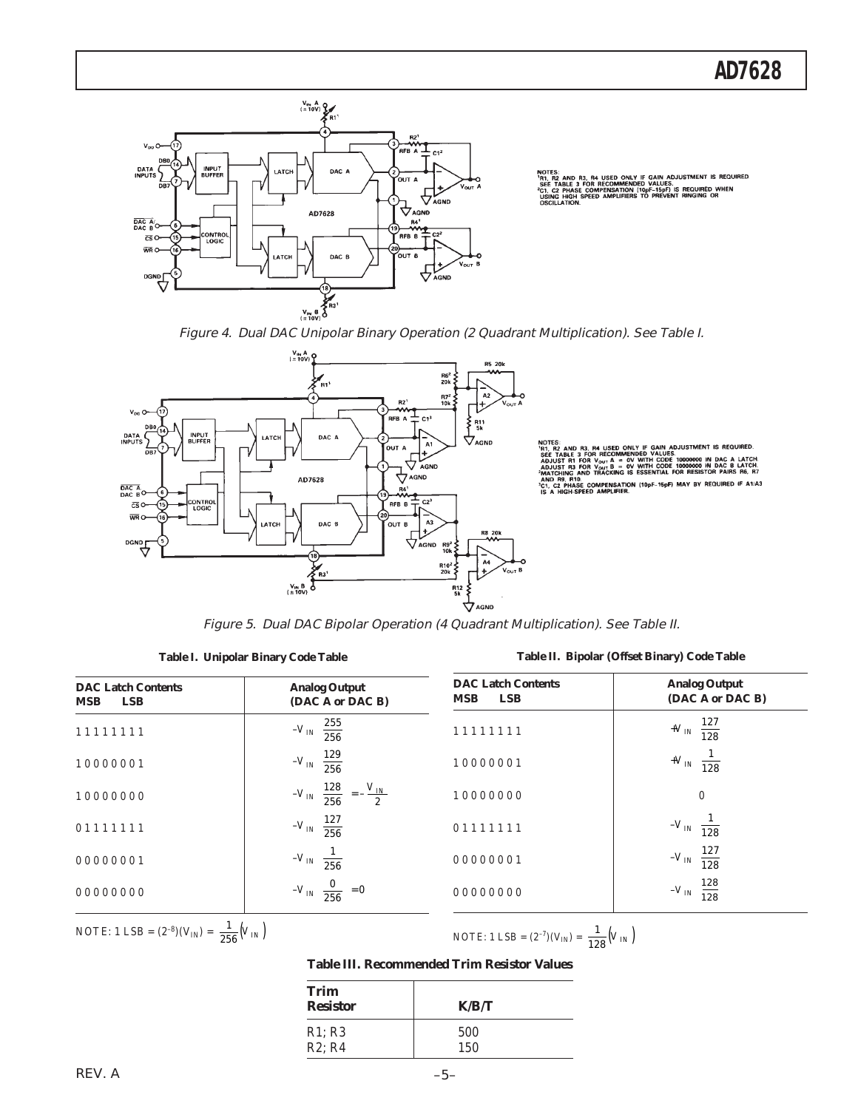

**REQUIRED** 10pl<br>TO



Figure 5. Dual DAC Bipolar Operation (4 Quadrant Multiplication). See Table II.

|  | Table I. Unipolar Binary Code Table |  |  |  |
|--|-------------------------------------|--|--|--|
|--|-------------------------------------|--|--|--|

**Table II. Bipolar (Offset Binary) Code Table**

| <b>DAC Latch Contents</b><br><b>LSB</b><br><b>MSB</b> | <b>Analog Output</b><br>(DAC A or DAC B)              | <b>DAC Latch Contents</b><br><b>MSB</b><br><b>LSB</b> | <b>Analog Output</b><br>(DAC A or DAC B) |
|-------------------------------------------------------|-------------------------------------------------------|-------------------------------------------------------|------------------------------------------|
| 11111111                                              | 255<br>$-V_{IN}$<br>256                               | 11111111                                              | 127<br>$+V_{I\!N}$<br>128                |
| 10000001                                              | 129<br>$-V_{IN}$<br>$\overline{256}$                  | 10000001                                              | $+V_{I\!N}$<br>128                       |
| 10000000                                              | 128<br>$V_{I\!N}$<br>$-V_{IN}$<br>256<br>$\mathbf{2}$ | 10000000                                              | $\boldsymbol{0}$                         |
| 01111111                                              | 127<br>$-V_{IN}$<br>$\overline{256}$                  | 01111111                                              | $-V_{I\!N1}$<br>128                      |
| 00000001                                              | $-V_{IN1}$<br>256                                     | 00000001                                              | 127<br>$-V_{I\!N}$<br>128                |
| 00000000                                              | $= 0$<br>$-V_{I\!N}$<br>256                           | 00000000                                              | 128<br>$\mathcal{-V}_{I\!N}$<br>128      |

NOTE: 1 LSB =  $(2^{-8})(V_{IN}) = \frac{1}{256}(V_{IN})$ 

NOTE: 1 LSB =  $(2^{-7})(V_{IN}) = \frac{1}{128}(V_{IN})$ 

**Table III. Recommended Trim Resistor Values**

| <b>Trim</b><br><b>Resistor</b> | K/R/T |
|--------------------------------|-------|
| R1; R3                         | 500   |
| R2; R4                         | 150   |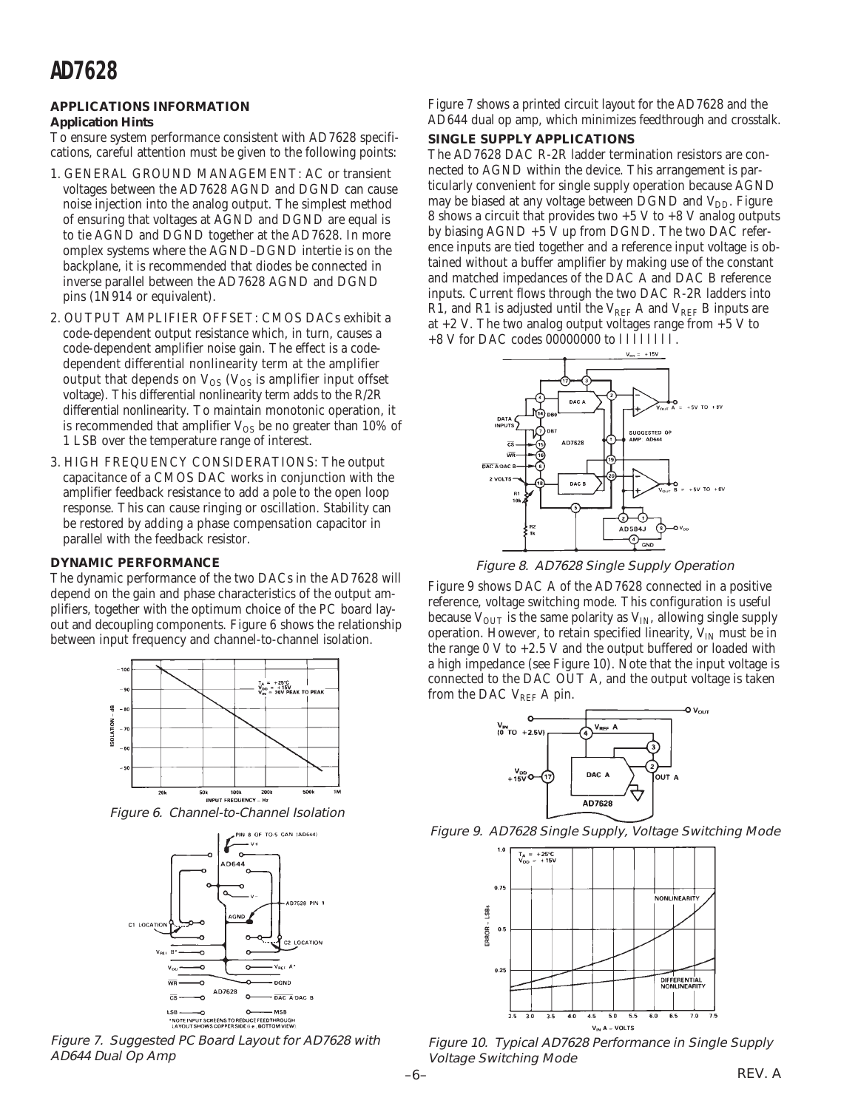## **AD7628**

#### **APPLICATIONS INFORMATION Application Hints**

To ensure system performance consistent with AD7628 specifications, careful attention must be given to the following points:

- 1. GENERAL GROUND MANAGEMENT: AC or transient voltages between the AD7628 AGND and DGND can cause noise injection into the analog output. The simplest method of ensuring that voltages at AGND and DGND are equal is to tie AGND and DGND together at the AD7628. In more omplex systems where the AGND–DGND intertie is on the backplane, it is recommended that diodes be connected in inverse parallel between the AD7628 AGND and DGND pins (1N914 or equivalent).
- 2. OUTPUT AMPLIFIER OFFSET: CMOS DACs exhibit a code-dependent output resistance which, in turn, causes a code-dependent amplifier noise gain. The effect is a codedependent differential nonlinearity term at the amplifier output that depends on  $V_{OS}$  ( $V_{OS}$  is amplifier input offset voltage). This differential nonlinearity term adds to the R/2R differential nonlinearity. To maintain monotonic operation, it is recommended that amplifier  $V_{OS}$  be no greater than 10% of 1 LSB over the temperature range of interest.
- 3. HIGH FREQUENCY CONSIDERATIONS: The output capacitance of a CMOS DAC works in conjunction with the amplifier feedback resistance to add a pole to the open loop response. This can cause ringing or oscillation. Stability can be restored by adding a phase compensation capacitor in parallel with the feedback resistor.

#### **DYNAMIC PERFORMANCE**

The dynamic performance of the two DACs in the AD7628 will depend on the gain and phase characteristics of the output amplifiers, together with the optimum choice of the PC board layout and decoupling components. Figure 6 shows the relationship between input frequency and channel-to-channel isolation.



Figure 6. Channel-to-Channel Isolation



Figure 7. Suggested PC Board Layout for AD7628 with AD644 Dual Op Amp

Figure 7 shows a printed circuit layout for the AD7628 and the AD644 dual op amp, which minimizes feedthrough and crosstalk.

#### **SINGLE SUPPLY APPLICATIONS**

The AD7628 DAC R-2R ladder termination resistors are connected to AGND within the device. This arrangement is particularly convenient for single supply operation because AGND may be biased at any voltage between DGND and V<sub>DD</sub>. Figure 8 shows a circuit that provides two  $+5$  V to  $+8$  V analog outputs by biasing AGND +5 V up from DGND. The two DAC reference inputs are tied together and a reference input voltage is obtained without a buffer amplifier by making use of the constant and matched impedances of the DAC A and DAC B reference inputs. Current flows through the two DAC R-2R ladders into R1, and R1 is adjusted until the  $V_{REF}$  A and  $V_{REF}$  B inputs are at  $+2$  V. The two analog output voltages range from  $+5$  V to  $+8$  V for DAC codes 00000000 to  $11\overline{1}1111\overline{1}$ .



Figure 8. AD7628 Single Supply Operation

Figure 9 shows DAC A of the AD7628 connected in a positive reference, voltage switching mode. This configuration is useful because  $V_{\text{OUT}}$  is the same polarity as  $V_{\text{IN}}$ , allowing single supply operation. However, to retain specified linearity,  $V_{IN}$  must be in the range  $0 \text{ V}$  to  $+2.5 \text{ V}$  and the output buffered or loaded with a high impedance (see Figure 10). Note that the input voltage is connected to the DAC OUT A, and the output voltage is taken from the DAC  $V_{REF}$  A pin.







Figure 10. Typical AD7628 Performance in Single Supply Voltage Switching Mode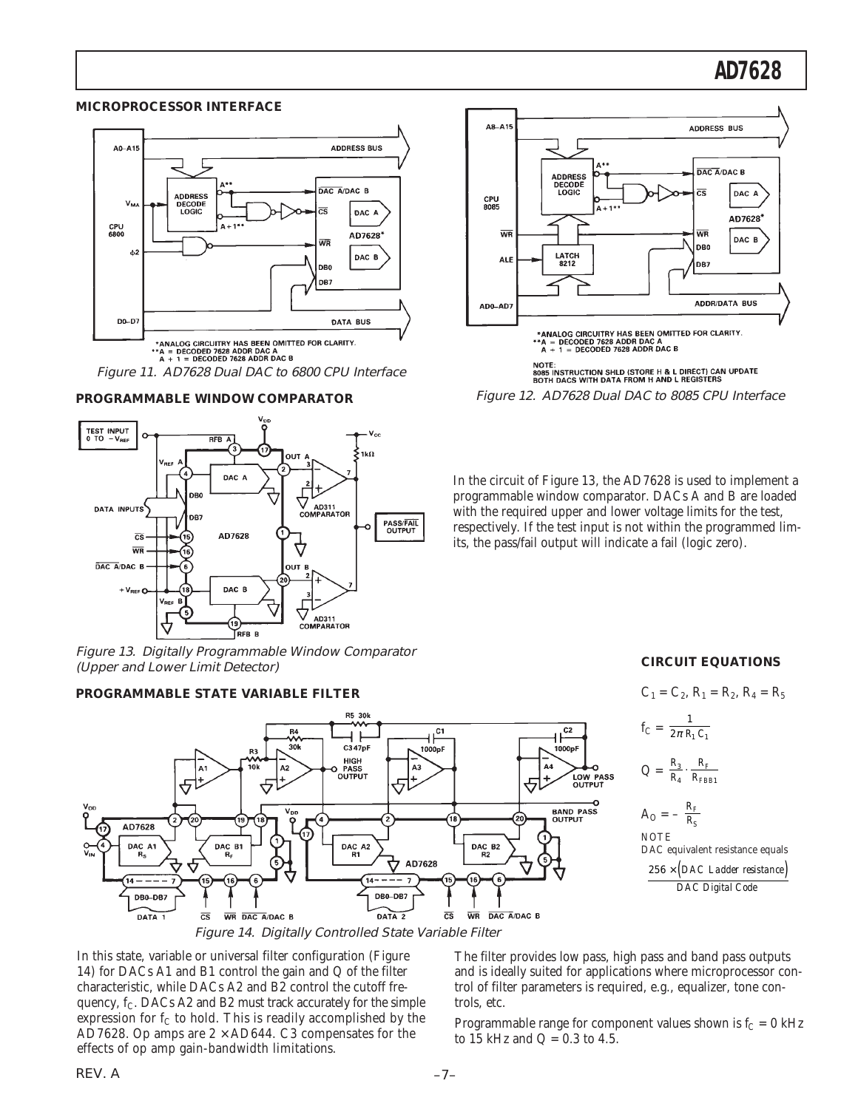## **AD7628**

#### **MICROPROCESSOR INTERFACE**









Figure 13. Digitally Programmable Window Comparator (Upper and Lower Limit Detector)

#### **PROGRAMMABLE STATE VARIABLE FILTER**





Figure 12. AD7628 Dual DAC to 8085 CPU Interface

In the circuit of Figure 13, the AD7628 is used to implement a programmable window comparator. DACs A and B are loaded with the required upper and lower voltage limits for the test, respectively. If the test input is not within the programmed limits, the pass/fail output will indicate a fail (logic zero).

#### **CIRCUIT EQUATIONS**

$$
C_1 = C_2, R_1 = R_2, R_4 = R_5
$$
  
\n
$$
f_C = \frac{1}{2\pi R_1 C_1}
$$
  
\n
$$
Q = \frac{R_3}{R_4} \cdot \frac{R_F}{R_{FBB1}}
$$
  
\n
$$
A_O = -\frac{R_F}{R_S}
$$
  
\nNOTE  
\nDAC equivalent resistance equals  
\n
$$
\frac{256 \times (DAC \text{ Ladder resistance})}{DAC \text{ DAC Digital Code}}
$$

In this state, variable or universal filter configuration (Figure 14) for DACs A1 and B1 control the gain and Q of the filter characteristic, while DACs A2 and B2 control the cutoff frequency,  $f_C$ . DACs A2 and B2 must track accurately for the simple expression for  $f_C$  to hold. This is readily accomplished by the AD7628. Op amps are  $2 \times$  AD644. C3 compensates for the effects of op amp gain-bandwidth limitations.

The filter provides low pass, high pass and band pass outputs and is ideally suited for applications where microprocessor control of filter parameters is required, e.g., equalizer, tone controls, etc.

Programmable range for component values shown is  $f_C = 0$  kHz to 15 kHz and  $Q = 0.3$  to 4.5.